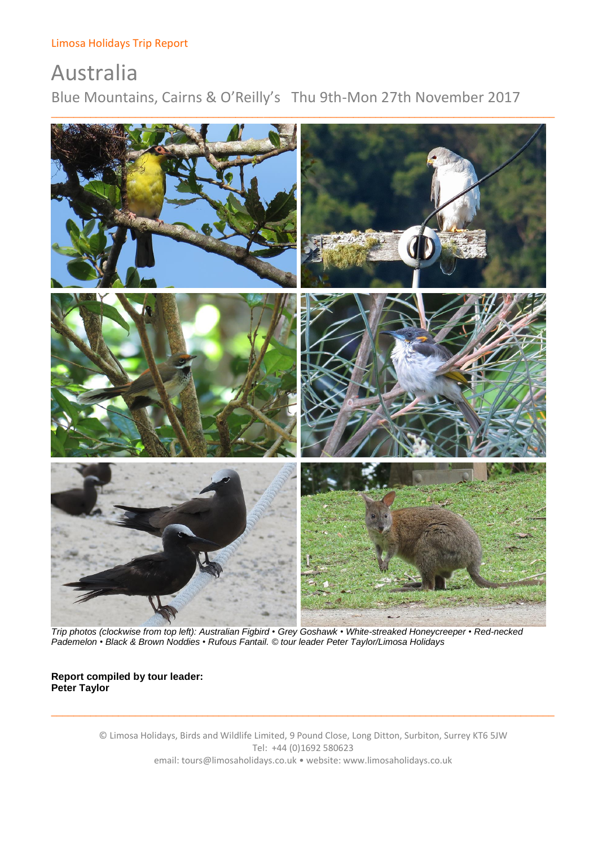# Australia Blue Mountains, Cairns & O'Reilly's Thu 9th-Mon 27th November 2017



 *Trip photos (clockwise from top left): Australian Figbird • Grey Goshawk • White-streaked Honeycreeper • Red-necked Pademelon • Black & Brown Noddies • Rufous Fantail. © tour leader Peter Taylor/Limosa Holidays*

# **Report compiled by tour leader: Peter Taylor**

© Limosa Holidays, Birds and Wildlife Limited, 9 Pound Close, Long Ditton, Surbiton, Surrey KT6 5JW Tel: +44 (0)1692 580623 email: tours@limosaholidays.co.uk • website: www.limosaholidays.co.uk

\_\_\_\_\_\_\_\_\_\_\_\_\_\_\_\_\_\_\_\_\_\_\_\_\_\_\_\_\_\_\_\_\_\_\_\_\_\_\_\_\_\_\_\_\_\_\_\_\_\_\_\_\_\_\_\_\_\_\_\_\_\_\_\_\_\_\_\_\_\_\_\_\_\_\_\_\_\_\_\_\_\_\_\_\_\_\_\_\_\_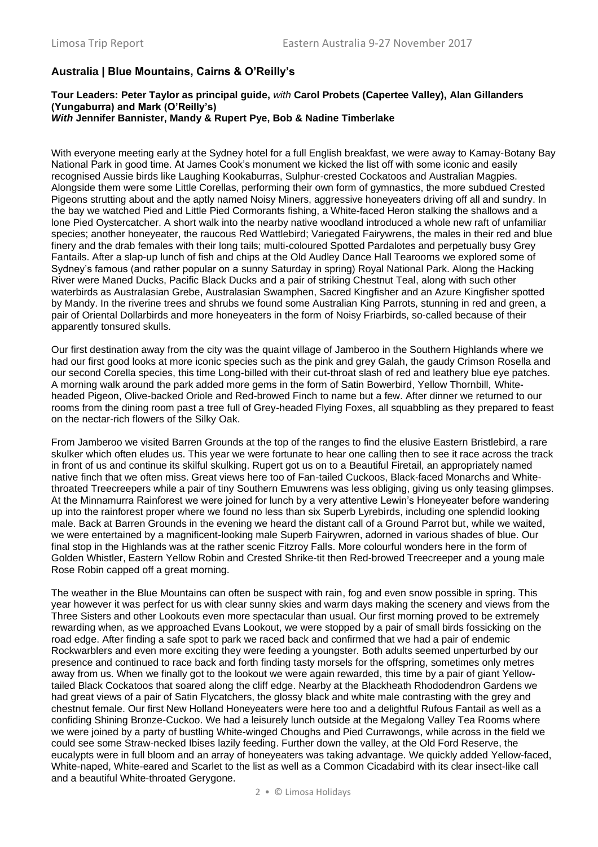# **Australia | Blue Mountains, Cairns & O'Reilly's**

#### **Tour Leaders: Peter Taylor as principal guide,** *with* **Carol Probets (Capertee Valley), Alan Gillanders (Yungaburra) and Mark (O'Reilly's)** *With* **Jennifer Bannister, Mandy & Rupert Pye, Bob & Nadine Timberlake**

With everyone meeting early at the Sydney hotel for a full English breakfast, we were away to Kamay-Botany Bay National Park in good time. At James Cook's monument we kicked the list off with some iconic and easily recognised Aussie birds like Laughing Kookaburras, Sulphur-crested Cockatoos and Australian Magpies. Alongside them were some Little Corellas, performing their own form of gymnastics, the more subdued Crested Pigeons strutting about and the aptly named Noisy Miners, aggressive honeyeaters driving off all and sundry. In the bay we watched Pied and Little Pied Cormorants fishing, a White-faced Heron stalking the shallows and a lone Pied Oystercatcher. A short walk into the nearby native woodland introduced a whole new raft of unfamiliar species; another honeyeater, the raucous Red Wattlebird; Variegated Fairywrens, the males in their red and blue finery and the drab females with their long tails; multi-coloured Spotted Pardalotes and perpetually busy Grey Fantails. After a slap-up lunch of fish and chips at the Old Audley Dance Hall Tearooms we explored some of Sydney's famous (and rather popular on a sunny Saturday in spring) Royal National Park. Along the Hacking River were Maned Ducks, Pacific Black Ducks and a pair of striking Chestnut Teal, along with such other waterbirds as Australasian Grebe, Australasian Swamphen, Sacred Kingfisher and an Azure Kingfisher spotted by Mandy. In the riverine trees and shrubs we found some Australian King Parrots, stunning in red and green, a pair of Oriental Dollarbirds and more honeyeaters in the form of Noisy Friarbirds, so-called because of their apparently tonsured skulls.

Our first destination away from the city was the quaint village of Jamberoo in the Southern Highlands where we had our first good looks at more iconic species such as the pink and grey Galah, the gaudy Crimson Rosella and our second Corella species, this time Long-billed with their cut-throat slash of red and leathery blue eye patches. A morning walk around the park added more gems in the form of Satin Bowerbird, Yellow Thornbill, Whiteheaded Pigeon, Olive-backed Oriole and Red-browed Finch to name but a few. After dinner we returned to our rooms from the dining room past a tree full of Grey-headed Flying Foxes, all squabbling as they prepared to feast on the nectar-rich flowers of the Silky Oak.

From Jamberoo we visited Barren Grounds at the top of the ranges to find the elusive Eastern Bristlebird, a rare skulker which often eludes us. This year we were fortunate to hear one calling then to see it race across the track in front of us and continue its skilful skulking. Rupert got us on to a Beautiful Firetail, an appropriately named native finch that we often miss. Great views here too of Fan-tailed Cuckoos, Black-faced Monarchs and Whitethroated Treecreepers while a pair of tiny Southern Emuwrens was less obliging, giving us only teasing glimpses. At the Minnamurra Rainforest we were joined for lunch by a very attentive Lewin's Honeyeater before wandering up into the rainforest proper where we found no less than six Superb Lyrebirds, including one splendid looking male. Back at Barren Grounds in the evening we heard the distant call of a Ground Parrot but, while we waited, we were entertained by a magnificent-looking male Superb Fairywren, adorned in various shades of blue. Our final stop in the Highlands was at the rather scenic Fitzroy Falls. More colourful wonders here in the form of Golden Whistler, Eastern Yellow Robin and Crested Shrike-tit then Red-browed Treecreeper and a young male Rose Robin capped off a great morning.

The weather in the Blue Mountains can often be suspect with rain, fog and even snow possible in spring. This year however it was perfect for us with clear sunny skies and warm days making the scenery and views from the Three Sisters and other Lookouts even more spectacular than usual. Our first morning proved to be extremely rewarding when, as we approached Evans Lookout, we were stopped by a pair of small birds fossicking on the road edge. After finding a safe spot to park we raced back and confirmed that we had a pair of endemic Rockwarblers and even more exciting they were feeding a youngster. Both adults seemed unperturbed by our presence and continued to race back and forth finding tasty morsels for the offspring, sometimes only metres away from us. When we finally got to the lookout we were again rewarded, this time by a pair of giant Yellowtailed Black Cockatoos that soared along the cliff edge. Nearby at the Blackheath Rhododendron Gardens we had great views of a pair of Satin Flycatchers, the glossy black and white male contrasting with the grey and chestnut female. Our first New Holland Honeyeaters were here too and a delightful Rufous Fantail as well as a confiding Shining Bronze-Cuckoo. We had a leisurely lunch outside at the Megalong Valley Tea Rooms where we were joined by a party of bustling White-winged Choughs and Pied Currawongs, while across in the field we could see some Straw-necked Ibises lazily feeding. Further down the valley, at the Old Ford Reserve, the eucalypts were in full bloom and an array of honeyeaters was taking advantage. We quickly added Yellow-faced, White-naped, White-eared and Scarlet to the list as well as a Common Cicadabird with its clear insect-like call and a beautiful White-throated Gerygone.

2 • © Limosa Holidays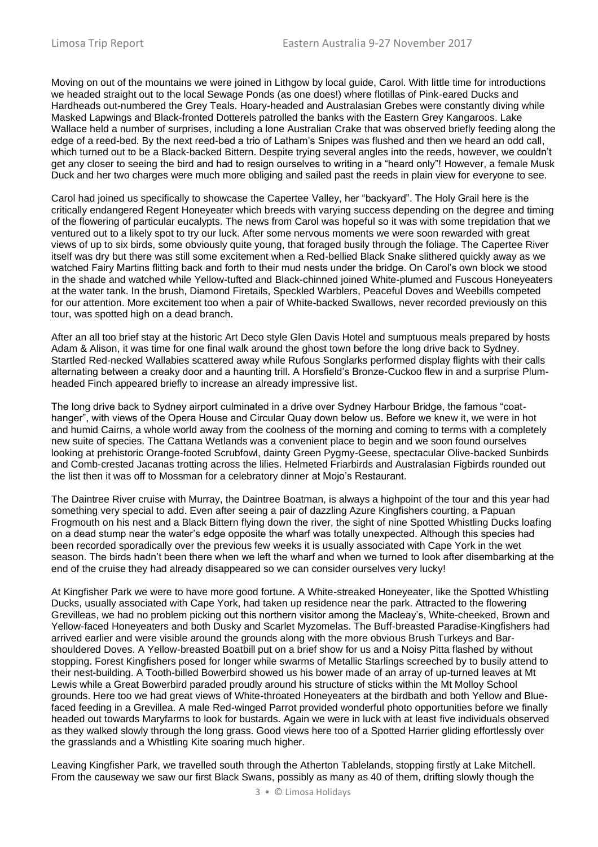Moving on out of the mountains we were joined in Lithgow by local guide, Carol. With little time for introductions we headed straight out to the local Sewage Ponds (as one does!) where flotillas of Pink-eared Ducks and Hardheads out-numbered the Grey Teals. Hoary-headed and Australasian Grebes were constantly diving while Masked Lapwings and Black-fronted Dotterels patrolled the banks with the Eastern Grey Kangaroos. Lake Wallace held a number of surprises, including a lone Australian Crake that was observed briefly feeding along the edge of a reed-bed. By the next reed-bed a trio of Latham's Snipes was flushed and then we heard an odd call, which turned out to be a Black-backed Bittern. Despite trying several angles into the reeds, however, we couldn't get any closer to seeing the bird and had to resign ourselves to writing in a "heard only"! However, a female Musk Duck and her two charges were much more obliging and sailed past the reeds in plain view for everyone to see.

Carol had joined us specifically to showcase the Capertee Valley, her "backyard". The Holy Grail here is the critically endangered Regent Honeyeater which breeds with varying success depending on the degree and timing of the flowering of particular eucalypts. The news from Carol was hopeful so it was with some trepidation that we ventured out to a likely spot to try our luck. After some nervous moments we were soon rewarded with great views of up to six birds, some obviously quite young, that foraged busily through the foliage. The Capertee River itself was dry but there was still some excitement when a Red-bellied Black Snake slithered quickly away as we watched Fairy Martins flitting back and forth to their mud nests under the bridge. On Carol's own block we stood in the shade and watched while Yellow-tufted and Black-chinned joined White-plumed and Fuscous Honeyeaters at the water tank. In the brush, Diamond Firetails, Speckled Warblers, Peaceful Doves and Weebills competed for our attention. More excitement too when a pair of White-backed Swallows, never recorded previously on this tour, was spotted high on a dead branch.

After an all too brief stay at the historic Art Deco style Glen Davis Hotel and sumptuous meals prepared by hosts Adam & Alison, it was time for one final walk around the ghost town before the long drive back to Sydney. Startled Red-necked Wallabies scattered away while Rufous Songlarks performed display flights with their calls alternating between a creaky door and a haunting trill. A Horsfield's Bronze-Cuckoo flew in and a surprise Plumheaded Finch appeared briefly to increase an already impressive list.

The long drive back to Sydney airport culminated in a drive over Sydney Harbour Bridge, the famous "coathanger", with views of the Opera House and Circular Quay down below us. Before we knew it, we were in hot and humid Cairns, a whole world away from the coolness of the morning and coming to terms with a completely new suite of species. The Cattana Wetlands was a convenient place to begin and we soon found ourselves looking at prehistoric Orange-footed Scrubfowl, dainty Green Pygmy-Geese, spectacular Olive-backed Sunbirds and Comb-crested Jacanas trotting across the lilies. Helmeted Friarbirds and Australasian Figbirds rounded out the list then it was off to Mossman for a celebratory dinner at Mojo's Restaurant.

The Daintree River cruise with Murray, the Daintree Boatman, is always a highpoint of the tour and this year had something very special to add. Even after seeing a pair of dazzling Azure Kingfishers courting, a Papuan Frogmouth on his nest and a Black Bittern flying down the river, the sight of nine Spotted Whistling Ducks loafing on a dead stump near the water's edge opposite the wharf was totally unexpected. Although this species had been recorded sporadically over the previous few weeks it is usually associated with Cape York in the wet season. The birds hadn't been there when we left the wharf and when we turned to look after disembarking at the end of the cruise they had already disappeared so we can consider ourselves very lucky!

At Kingfisher Park we were to have more good fortune. A White-streaked Honeyeater, like the Spotted Whistling Ducks, usually associated with Cape York, had taken up residence near the park. Attracted to the flowering Grevilleas, we had no problem picking out this northern visitor among the Macleay's, White-cheeked, Brown and Yellow-faced Honeyeaters and both Dusky and Scarlet Myzomelas. The Buff-breasted Paradise-Kingfishers had arrived earlier and were visible around the grounds along with the more obvious Brush Turkeys and Barshouldered Doves. A Yellow-breasted Boatbill put on a brief show for us and a Noisy Pitta flashed by without stopping. Forest Kingfishers posed for longer while swarms of Metallic Starlings screeched by to busily attend to their nest-building. A Tooth-billed Bowerbird showed us his bower made of an array of up-turned leaves at Mt Lewis while a Great Bowerbird paraded proudly around his structure of sticks within the Mt Molloy School grounds. Here too we had great views of White-throated Honeyeaters at the birdbath and both Yellow and Bluefaced feeding in a Grevillea. A male Red-winged Parrot provided wonderful photo opportunities before we finally headed out towards Maryfarms to look for bustards. Again we were in luck with at least five individuals observed as they walked slowly through the long grass. Good views here too of a Spotted Harrier gliding effortlessly over the grasslands and a Whistling Kite soaring much higher.

Leaving Kingfisher Park, we travelled south through the Atherton Tablelands, stopping firstly at Lake Mitchell. From the causeway we saw our first Black Swans, possibly as many as 40 of them, drifting slowly though the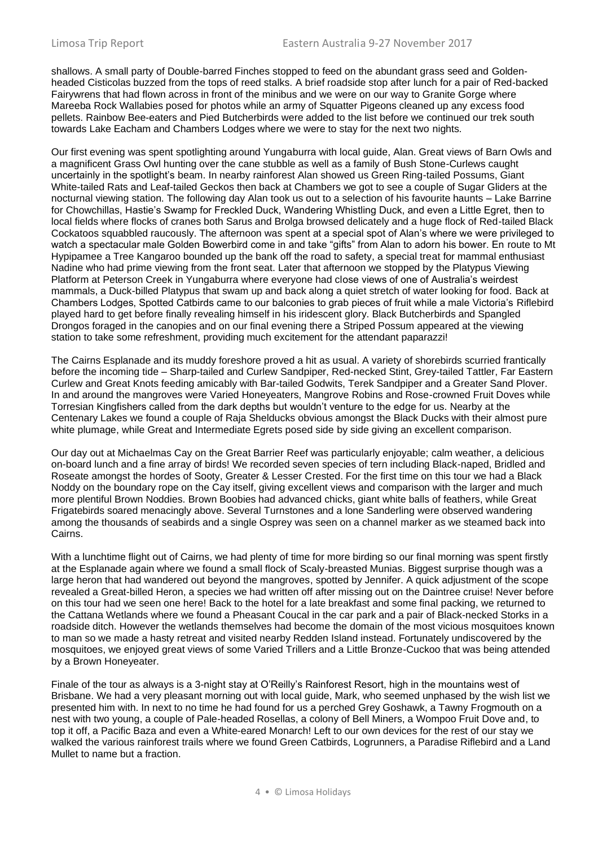shallows. A small party of Double-barred Finches stopped to feed on the abundant grass seed and Goldenheaded Cisticolas buzzed from the tops of reed stalks. A brief roadside stop after lunch for a pair of Red-backed Fairywrens that had flown across in front of the minibus and we were on our way to Granite Gorge where Mareeba Rock Wallabies posed for photos while an army of Squatter Pigeons cleaned up any excess food pellets. Rainbow Bee-eaters and Pied Butcherbirds were added to the list before we continued our trek south towards Lake Eacham and Chambers Lodges where we were to stay for the next two nights.

Our first evening was spent spotlighting around Yungaburra with local guide, Alan. Great views of Barn Owls and a magnificent Grass Owl hunting over the cane stubble as well as a family of Bush Stone-Curlews caught uncertainly in the spotlight's beam. In nearby rainforest Alan showed us Green Ring-tailed Possums, Giant White-tailed Rats and Leaf-tailed Geckos then back at Chambers we got to see a couple of Sugar Gliders at the nocturnal viewing station. The following day Alan took us out to a selection of his favourite haunts – Lake Barrine for Chowchillas, Hastie's Swamp for Freckled Duck, Wandering Whistling Duck, and even a Little Egret, then to local fields where flocks of cranes both Sarus and Brolga browsed delicately and a huge flock of Red-tailed Black Cockatoos squabbled raucously. The afternoon was spent at a special spot of Alan's where we were privileged to watch a spectacular male Golden Bowerbird come in and take "gifts" from Alan to adorn his bower. En route to Mt Hypipamee a Tree Kangaroo bounded up the bank off the road to safety, a special treat for mammal enthusiast Nadine who had prime viewing from the front seat. Later that afternoon we stopped by the Platypus Viewing Platform at Peterson Creek in Yungaburra where everyone had close views of one of Australia's weirdest mammals, a Duck-billed Platypus that swam up and back along a quiet stretch of water looking for food. Back at Chambers Lodges, Spotted Catbirds came to our balconies to grab pieces of fruit while a male Victoria's Riflebird played hard to get before finally revealing himself in his iridescent glory. Black Butcherbirds and Spangled Drongos foraged in the canopies and on our final evening there a Striped Possum appeared at the viewing station to take some refreshment, providing much excitement for the attendant paparazzi!

The Cairns Esplanade and its muddy foreshore proved a hit as usual. A variety of shorebirds scurried frantically before the incoming tide – Sharp-tailed and Curlew Sandpiper, Red-necked Stint, Grey-tailed Tattler, Far Eastern Curlew and Great Knots feeding amicably with Bar-tailed Godwits, Terek Sandpiper and a Greater Sand Plover. In and around the mangroves were Varied Honeyeaters, Mangrove Robins and Rose-crowned Fruit Doves while Torresian Kingfishers called from the dark depths but wouldn't venture to the edge for us. Nearby at the Centenary Lakes we found a couple of Raja Shelducks obvious amongst the Black Ducks with their almost pure white plumage, while Great and Intermediate Egrets posed side by side giving an excellent comparison.

Our day out at Michaelmas Cay on the Great Barrier Reef was particularly enjoyable; calm weather, a delicious on-board lunch and a fine array of birds! We recorded seven species of tern including Black-naped, Bridled and Roseate amongst the hordes of Sooty, Greater & Lesser Crested. For the first time on this tour we had a Black Noddy on the boundary rope on the Cay itself, giving excellent views and comparison with the larger and much more plentiful Brown Noddies. Brown Boobies had advanced chicks, giant white balls of feathers, while Great Frigatebirds soared menacingly above. Several Turnstones and a lone Sanderling were observed wandering among the thousands of seabirds and a single Osprey was seen on a channel marker as we steamed back into Cairns.

With a lunchtime flight out of Cairns, we had plenty of time for more birding so our final morning was spent firstly at the Esplanade again where we found a small flock of Scaly-breasted Munias. Biggest surprise though was a large heron that had wandered out beyond the mangroves, spotted by Jennifer. A quick adjustment of the scope revealed a Great-billed Heron, a species we had written off after missing out on the Daintree cruise! Never before on this tour had we seen one here! Back to the hotel for a late breakfast and some final packing, we returned to the Cattana Wetlands where we found a Pheasant Coucal in the car park and a pair of Black-necked Storks in a roadside ditch. However the wetlands themselves had become the domain of the most vicious mosquitoes known to man so we made a hasty retreat and visited nearby Redden Island instead. Fortunately undiscovered by the mosquitoes, we enjoyed great views of some Varied Trillers and a Little Bronze-Cuckoo that was being attended by a Brown Honeyeater.

Finale of the tour as always is a 3-night stay at O'Reilly's Rainforest Resort, high in the mountains west of Brisbane. We had a very pleasant morning out with local guide, Mark, who seemed unphased by the wish list we presented him with. In next to no time he had found for us a perched Grey Goshawk, a Tawny Frogmouth on a nest with two young, a couple of Pale-headed Rosellas, a colony of Bell Miners, a Wompoo Fruit Dove and, to top it off, a Pacific Baza and even a White-eared Monarch! Left to our own devices for the rest of our stay we walked the various rainforest trails where we found Green Catbirds, Logrunners, a Paradise Riflebird and a Land Mullet to name but a fraction.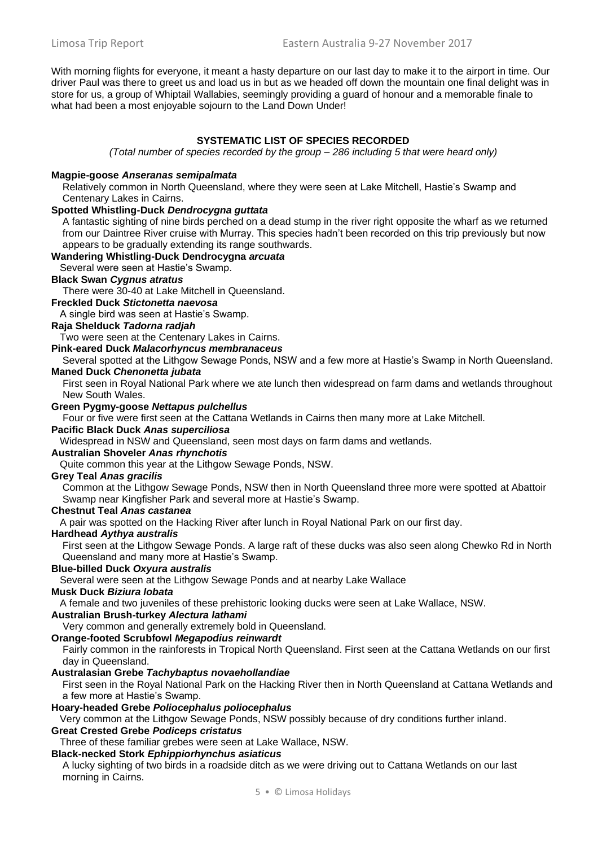With morning flights for everyone, it meant a hasty departure on our last day to make it to the airport in time. Our driver Paul was there to greet us and load us in but as we headed off down the mountain one final delight was in store for us, a group of Whiptail Wallabies, seemingly providing a guard of honour and a memorable finale to what had been a most enjoyable sojourn to the Land Down Under!

#### **SYSTEMATIC LIST OF SPECIES RECORDED**

*(Total number of species recorded by the group – 286 including 5 that were heard only)*

#### **Magpie-goose** *Anseranas semipalmata*

Relatively common in North Queensland, where they were seen at Lake Mitchell, Hastie's Swamp and Centenary Lakes in Cairns.

#### **Spotted Whistling-Duck** *Dendrocygna guttata*

A fantastic sighting of nine birds perched on a dead stump in the river right opposite the wharf as we returned from our Daintree River cruise with Murray. This species hadn't been recorded on this trip previously but now appears to be gradually extending its range southwards.

#### **Wandering Whistling-Duck Dendrocygna** *arcuata*

Several were seen at Hastie's Swamp.

# **Black Swan** *Cygnus atratus*

There were 30-40 at Lake Mitchell in Queensland.

# **Freckled Duck** *Stictonetta naevosa*

A single bird was seen at Hastie's Swamp.

## **Raja Shelduck** *Tadorna radjah*

Two were seen at the Centenary Lakes in Cairns.

**Pink-eared Duck** *Malacorhyncus membranaceus* 

Several spotted at the Lithgow Sewage Ponds, NSW and a few more at Hastie's Swamp in North Queensland.

# **Maned Duck** *Chenonetta jubata*

First seen in Royal National Park where we ate lunch then widespread on farm dams and wetlands throughout New South Wales.

#### **Green Pygmy-goose** *Nettapus pulchellus*

Four or five were first seen at the Cattana Wetlands in Cairns then many more at Lake Mitchell.

# **Pacific Black Duck** *Anas superciliosa*

Widespread in NSW and Queensland, seen most days on farm dams and wetlands.

#### **Australian Shoveler** *Anas rhynchotis*

Quite common this year at the Lithgow Sewage Ponds, NSW.

#### **Grey Teal** *Anas gracilis*

Common at the Lithgow Sewage Ponds, NSW then in North Queensland three more were spotted at Abattoir Swamp near Kingfisher Park and several more at Hastie's Swamp.

#### **Chestnut Teal** *Anas castanea*

A pair was spotted on the Hacking River after lunch in Royal National Park on our first day.

#### **Hardhead** *Aythya australis*

First seen at the Lithgow Sewage Ponds. A large raft of these ducks was also seen along Chewko Rd in North Queensland and many more at Hastie's Swamp.

#### **Blue-billed Duck** *Oxyura australis*

Several were seen at the Lithgow Sewage Ponds and at nearby Lake Wallace

# **Musk Duck** *Biziura lobata*

A female and two juveniles of these prehistoric looking ducks were seen at Lake Wallace, NSW.

#### **Australian Brush-turkey** *Alectura lathami*

Very common and generally extremely bold in Queensland.

#### **Orange-footed Scrubfowl** *Megapodius reinwardt*

Fairly common in the rainforests in Tropical North Queensland. First seen at the Cattana Wetlands on our first day in Queensland.

## **Australasian Grebe** *Tachybaptus novaehollandiae*

First seen in the Royal National Park on the Hacking River then in North Queensland at Cattana Wetlands and a few more at Hastie's Swamp.

#### **Hoary-headed Grebe** *Poliocephalus poliocephalus*

Very common at the Lithgow Sewage Ponds, NSW possibly because of dry conditions further inland.

# **Great Crested Grebe** *Podiceps cristatus*

Three of these familiar grebes were seen at Lake Wallace, NSW.

# **Black-necked Stork** *Ephippiorhynchus asiaticus*

A lucky sighting of two birds in a roadside ditch as we were driving out to Cattana Wetlands on our last morning in Cairns.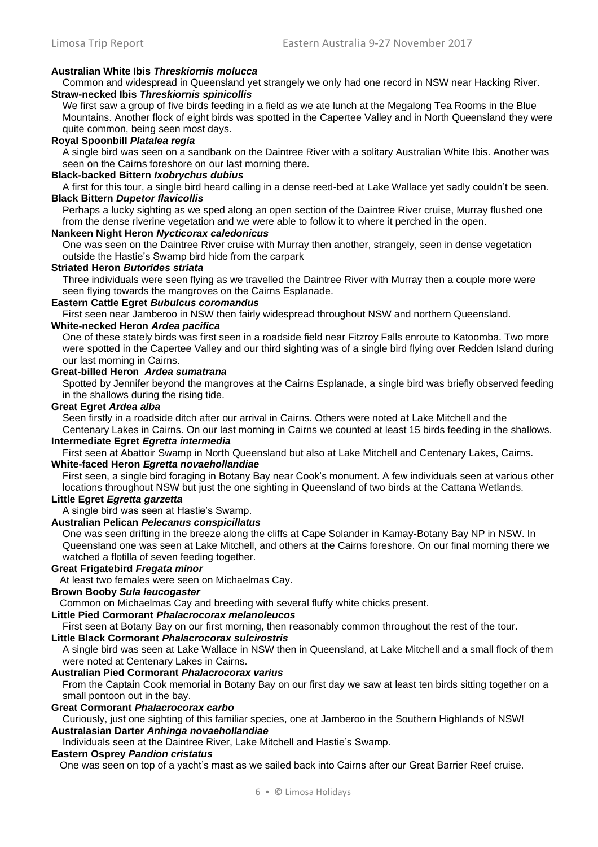# **Australian White Ibis** *Threskiornis molucca*

Common and widespread in Queensland yet strangely we only had one record in NSW near Hacking River. **Straw-necked Ibis** *Threskiornis spinicollis*

We first saw a group of five birds feeding in a field as we ate lunch at the Megalong Tea Rooms in the Blue Mountains. Another flock of eight birds was spotted in the Capertee Valley and in North Queensland they were quite common, being seen most days.

## **Royal Spoonbill** *Platalea regia*

A single bird was seen on a sandbank on the Daintree River with a solitary Australian White Ibis. Another was seen on the Cairns foreshore on our last morning there.

# **Black-backed Bittern** *Ixobrychus dubius*

A first for this tour, a single bird heard calling in a dense reed-bed at Lake Wallace yet sadly couldn't be seen. **Black Bittern** *Dupetor flavicollis*

Perhaps a lucky sighting as we sped along an open section of the Daintree River cruise, Murray flushed one from the dense riverine vegetation and we were able to follow it to where it perched in the open.

#### **Nankeen Night Heron** *Nycticorax caledonicus*

One was seen on the Daintree River cruise with Murray then another, strangely, seen in dense vegetation outside the Hastie's Swamp bird hide from the carpark

#### **Striated Heron** *Butorides striata*

Three individuals were seen flying as we travelled the Daintree River with Murray then a couple more were seen flying towards the mangroves on the Cairns Esplanade.

# **Eastern Cattle Egret** *Bubulcus coromandus*

First seen near Jamberoo in NSW then fairly widespread throughout NSW and northern Queensland.

# **White-necked Heron** *Ardea pacifica*

One of these stately birds was first seen in a roadside field near Fitzroy Falls enroute to Katoomba. Two more were spotted in the Capertee Valley and our third sighting was of a single bird flying over Redden Island during our last morning in Cairns.

# **Great-billed Heron** *Ardea sumatrana*

Spotted by Jennifer beyond the mangroves at the Cairns Esplanade, a single bird was briefly observed feeding in the shallows during the rising tide.

#### **Great Egret** *Ardea alba*

Seen firstly in a roadside ditch after our arrival in Cairns. Others were noted at Lake Mitchell and the Centenary Lakes in Cairns. On our last morning in Cairns we counted at least 15 birds feeding in the shallows.

#### **Intermediate Egret** *Egretta intermedia*

First seen at Abattoir Swamp in North Queensland but also at Lake Mitchell and Centenary Lakes, Cairns.

#### **White-faced Heron** *Egretta novaehollandiae*

First seen, a single bird foraging in Botany Bay near Cook's monument. A few individuals seen at various other locations throughout NSW but just the one sighting in Queensland of two birds at the Cattana Wetlands.

#### **Little Egret** *Egretta garzetta*

A single bird was seen at Hastie's Swamp.

# **Australian Pelican** *Pelecanus conspicillatus*

One was seen drifting in the breeze along the cliffs at Cape Solander in Kamay-Botany Bay NP in NSW. In Queensland one was seen at Lake Mitchell, and others at the Cairns foreshore. On our final morning there we watched a flotilla of seven feeding together.

#### **Great Frigatebird** *Fregata minor*

At least two females were seen on Michaelmas Cay.

# **Brown Booby** *Sula leucogaster*

Common on Michaelmas Cay and breeding with several fluffy white chicks present.

# **Little Pied Cormorant** *Phalacrocorax melanoleucos*

First seen at Botany Bay on our first morning, then reasonably common throughout the rest of the tour.

## **Little Black Cormorant** *Phalacrocorax sulcirostris*

A single bird was seen at Lake Wallace in NSW then in Queensland, at Lake Mitchell and a small flock of them were noted at Centenary Lakes in Cairns.

## **Australian Pied Cormorant** *Phalacrocorax varius*

From the Captain Cook memorial in Botany Bay on our first day we saw at least ten birds sitting together on a small pontoon out in the bay.

#### **Great Cormorant** *Phalacrocorax carbo*

Curiously, just one sighting of this familiar species, one at Jamberoo in the Southern Highlands of NSW! **Australasian Darter** *Anhinga novaehollandiae* 

Individuals seen at the Daintree River, Lake Mitchell and Hastie's Swamp.

#### **Eastern Osprey** *Pandion cristatus*

One was seen on top of a yacht's mast as we sailed back into Cairns after our Great Barrier Reef cruise.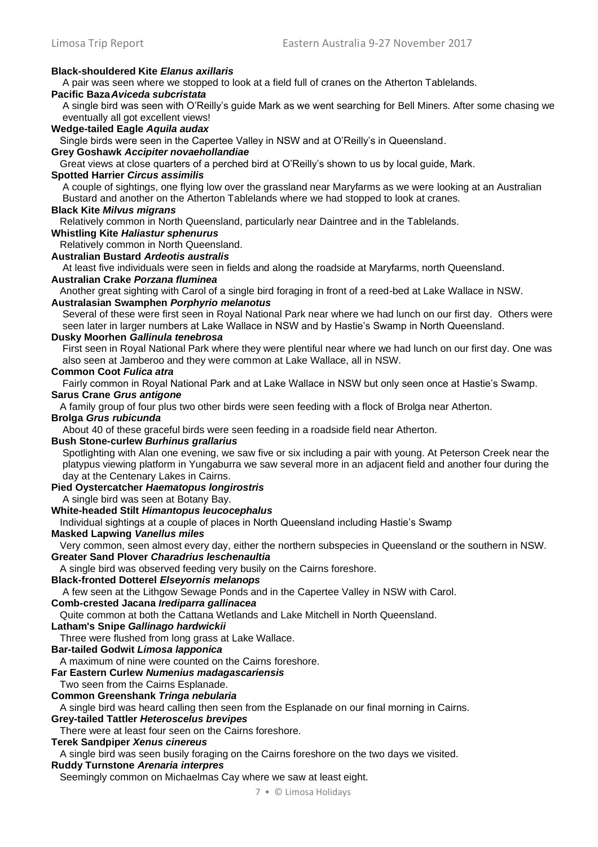#### **Black-shouldered Kite** *Elanus axillaris*

A pair was seen where we stopped to look at a field full of cranes on the Atherton Tablelands.

#### **Pacific Baza***Aviceda subcristata*

A single bird was seen with O'Reilly's guide Mark as we went searching for Bell Miners. After some chasing we eventually all got excellent views!

#### **Wedge-tailed Eagle** *Aquila audax*

Single birds were seen in the Capertee Valley in NSW and at O'Reilly's in Queensland.

#### **Grey Goshawk** *Accipiter novaehollandiae*

Great views at close quarters of a perched bird at O'Reilly's shown to us by local guide, Mark.

#### **Spotted Harrier** *Circus assimilis*

A couple of sightings, one flying low over the grassland near Maryfarms as we were looking at an Australian Bustard and another on the Atherton Tablelands where we had stopped to look at cranes.

#### **Black Kite** *Milvus migrans*

Relatively common in North Queensland, particularly near Daintree and in the Tablelands.

# **Whistling Kite** *Haliastur sphenurus*

Relatively common in North Queensland.

# **Australian Bustard** *Ardeotis australis*

At least five individuals were seen in fields and along the roadside at Maryfarms, north Queensland.

#### **Australian Crake** *Porzana fluminea*

Another great sighting with Carol of a single bird foraging in front of a reed-bed at Lake Wallace in NSW.

# **Australasian Swamphen** *Porphyrio melanotus*

Several of these were first seen in Royal National Park near where we had lunch on our first day. Others were seen later in larger numbers at Lake Wallace in NSW and by Hastie's Swamp in North Queensland.

## **Dusky Moorhen** *Gallinula tenebrosa*

First seen in Royal National Park where they were plentiful near where we had lunch on our first day. One was also seen at Jamberoo and they were common at Lake Wallace, all in NSW.

#### **Common Coot** *Fulica atra*

Fairly common in Royal National Park and at Lake Wallace in NSW but only seen once at Hastie's Swamp. **Sarus Crane** *Grus antigone*

A family group of four plus two other birds were seen feeding with a flock of Brolga near Atherton.

# **Brolga** *Grus rubicunda*

About 40 of these graceful birds were seen feeding in a roadside field near Atherton.

#### **Bush Stone-curlew** *Burhinus grallarius*

Spotlighting with Alan one evening, we saw five or six including a pair with young. At Peterson Creek near the platypus viewing platform in Yungaburra we saw several more in an adjacent field and another four during the day at the Centenary Lakes in Cairns.

#### **Pied Oystercatcher** *Haematopus longirostris*

A single bird was seen at Botany Bay.

#### **White-headed Stilt** *Himantopus leucocephalus*

Individual sightings at a couple of places in North Queensland including Hastie's Swamp

#### **Masked Lapwing** *Vanellus miles*

Very common, seen almost every day, either the northern subspecies in Queensland or the southern in NSW.

# **Greater Sand Plover** *Charadrius leschenaultia*

A single bird was observed feeding very busily on the Cairns foreshore.

# **Black-fronted Dotterel** *Elseyornis melanops*

A few seen at the Lithgow Sewage Ponds and in the Capertee Valley in NSW with Carol.

# **Comb-crested Jacana** *Irediparra gallinacea*

Quite common at both the Cattana Wetlands and Lake Mitchell in North Queensland.

# **Latham's Snipe** *Gallinago hardwickii*

Three were flushed from long grass at Lake Wallace.

# **Bar-tailed Godwit** *Limosa lapponica*

A maximum of nine were counted on the Cairns foreshore.

# **Far Eastern Curlew** *Numenius madagascariensis*

## Two seen from the Cairns Esplanade.

# **Common Greenshank** *Tringa nebularia*

A single bird was heard calling then seen from the Esplanade on our final morning in Cairns.

# **Grey-tailed Tattler** *Heteroscelus brevipes*

There were at least four seen on the Cairns foreshore.

# **Terek Sandpiper** *Xenus cinereus*

A single bird was seen busily foraging on the Cairns foreshore on the two days we visited.

# **Ruddy Turnstone** *Arenaria interpres*

Seemingly common on Michaelmas Cay where we saw at least eight.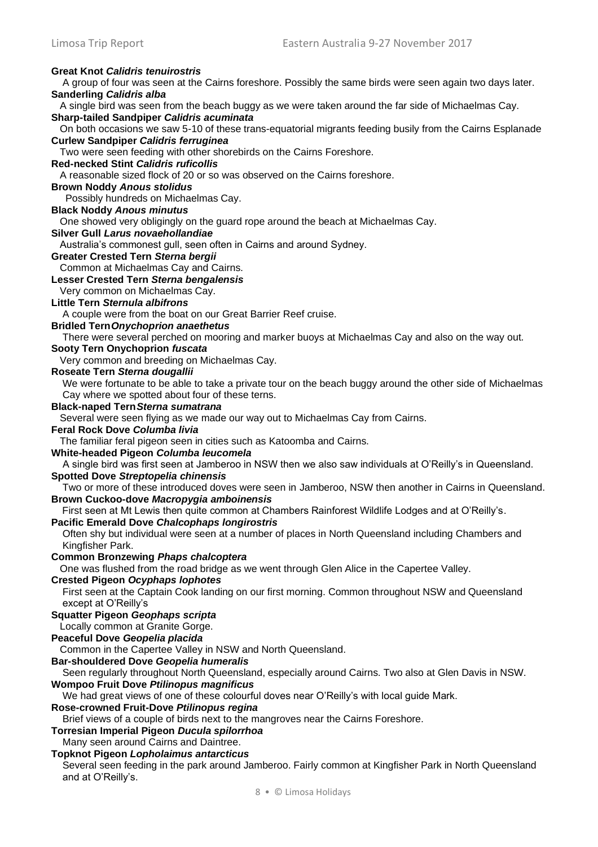# **Great Knot** *Calidris tenuirostris*

A group of four was seen at the Cairns foreshore. Possibly the same birds were seen again two days later. **Sanderling** *Calidris alba* A single bird was seen from the beach buggy as we were taken around the far side of Michaelmas Cay. **Sharp-tailed Sandpiper** *Calidris acuminata* On both occasions we saw 5-10 of these trans-equatorial migrants feeding busily from the Cairns Esplanade **Curlew Sandpiper** *Calidris ferruginea* Two were seen feeding with other shorebirds on the Cairns Foreshore. **Red-necked Stint** *Calidris ruficollis*  A reasonable sized flock of 20 or so was observed on the Cairns foreshore. **Brown Noddy** *Anous stolidus*  Possibly hundreds on Michaelmas Cay. **Black Noddy** *Anous minutus* One showed very obligingly on the guard rope around the beach at Michaelmas Cay. **Silver Gull** *Larus novaehollandiae*  Australia's commonest gull, seen often in Cairns and around Sydney. **Greater Crested Tern** *Sterna bergii*  Common at Michaelmas Cay and Cairns. **Lesser Crested Tern** *Sterna bengalensis*  Very common on Michaelmas Cay. **Little Tern** *Sternula albifrons*  A couple were from the boat on our Great Barrier Reef cruise. **Bridled Tern***Onychoprion anaethetus* There were several perched on mooring and marker buoys at Michaelmas Cay and also on the way out. **Sooty Tern Onychoprion** *fuscata*  Very common and breeding on Michaelmas Cay. **Roseate Tern** *Sterna dougallii* We were fortunate to be able to take a private tour on the beach buggy around the other side of Michaelmas Cay where we spotted about four of these terns. **Black-naped Tern***Sterna sumatrana* Several were seen flying as we made our way out to Michaelmas Cay from Cairns. **Feral Rock Dove** *Columba livia*  The familiar feral pigeon seen in cities such as Katoomba and Cairns. **White-headed Pigeon** *Columba leucomela*  A single bird was first seen at Jamberoo in NSW then we also saw individuals at O'Reilly's in Queensland. **Spotted Dove** *Streptopelia chinensis*  Two or more of these introduced doves were seen in Jamberoo, NSW then another in Cairns in Queensland. **Brown Cuckoo-dove** *Macropygia amboinensis*  First seen at Mt Lewis then quite common at Chambers Rainforest Wildlife Lodges and at O'Reilly's. **Pacific Emerald Dove** *Chalcophaps longirostris*  Often shy but individual were seen at a number of places in North Queensland including Chambers and Kingfisher Park. **Common Bronzewing** *Phaps chalcoptera* One was flushed from the road bridge as we went through Glen Alice in the Capertee Valley. **Crested Pigeon** *Ocyphaps lophotes*  First seen at the Captain Cook landing on our first morning. Common throughout NSW and Queensland except at O'Reilly's **Squatter Pigeon** *Geophaps scripta*  Locally common at Granite Gorge. **Peaceful Dove** *Geopelia placida*  Common in the Capertee Valley in NSW and North Queensland. **Bar-shouldered Dove** *Geopelia humeralis*  Seen regularly throughout North Queensland, especially around Cairns. Two also at Glen Davis in NSW. **Wompoo Fruit Dove** *Ptilinopus magnificus*  We had great views of one of these colourful doves near O'Reilly's with local guide Mark. **Rose-crowned Fruit-Dove** *Ptilinopus regina* Brief views of a couple of birds next to the mangroves near the Cairns Foreshore. **Torresian Imperial Pigeon** *Ducula spilorrhoa*  Many seen around Cairns and Daintree. **Topknot Pigeon** *Lopholaimus antarcticus*  Several seen feeding in the park around Jamberoo. Fairly common at Kingfisher Park in North Queensland and at O'Reilly's.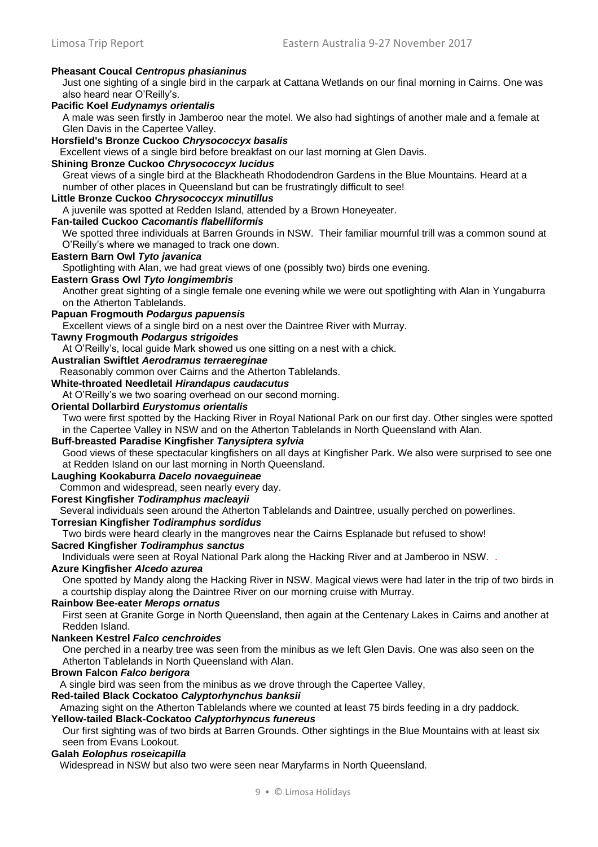#### **Pheasant Coucal** *Centropus phasianinus*

Just one sighting of a single bird in the carpark at Cattana Wetlands on our final morning in Cairns. One was also heard near O'Reilly's.

## **Pacific Koel** *Eudynamys orientalis*

A male was seen firstly in Jamberoo near the motel. We also had sightings of another male and a female at Glen Davis in the Capertee Valley.

# **Horsfield's Bronze Cuckoo** *Chrysococcyx basalis*

Excellent views of a single bird before breakfast on our last morning at Glen Davis.

#### **Shining Bronze Cuckoo** *Chrysococcyx lucidus*

Great views of a single bird at the Blackheath Rhododendron Gardens in the Blue Mountains. Heard at a number of other places in Queensland but can be frustratingly difficult to see!

#### **Little Bronze Cuckoo** *Chrysococcyx minutillus*

A juvenile was spotted at Redden Island, attended by a Brown Honeyeater.

#### **Fan-tailed Cuckoo** *Cacomantis flabelliformis*

We spotted three individuals at Barren Grounds in NSW. Their familiar mournful trill was a common sound at O'Reilly's where we managed to track one down.

#### **Eastern Barn Owl** *Tyto javanica*

Spotlighting with Alan, we had great views of one (possibly two) birds one evening.

# **Eastern Grass Owl** *Tyto longimembris*

Another great sighting of a single female one evening while we were out spotlighting with Alan in Yungaburra on the Atherton Tablelands.

# **Papuan Frogmouth** *Podargus papuensis*

Excellent views of a single bird on a nest over the Daintree River with Murray.

# **Tawny Frogmouth** *Podargus strigoides*

At O'Reilly's, local guide Mark showed us one sitting on a nest with a chick.

# **Australian Swiftlet** *Aerodramus terraereginae*

Reasonably common over Cairns and the Atherton Tablelands.

# **White-throated Needletail** *Hirandapus caudacutus*

At O'Reilly's we two soaring overhead on our second morning.

## **Oriental Dollarbird** *Eurystomus orientalis*

Two were first spotted by the Hacking River in Royal National Park on our first day. Other singles were spotted in the Capertee Valley in NSW and on the Atherton Tablelands in North Queensland with Alan.

#### **Buff-breasted Paradise Kingfisher** *Tanysiptera sylvia*

Good views of these spectacular kingfishers on all days at Kingfisher Park. We also were surprised to see one at Redden Island on our last morning in North Queensland.

#### **Laughing Kookaburra** *Dacelo novaeguineae*

Common and widespread, seen nearly every day.

# **Forest Kingfisher** *Todiramphus macleayii*

Several individuals seen around the Atherton Tablelands and Daintree, usually perched on powerlines.

## **Torresian Kingfisher** *Todiramphus sordidus*

Two birds were heard clearly in the mangroves near the Cairns Esplanade but refused to show!

# **Sacred Kingfisher** *Todiramphus sanctus*

Individuals were seen at Royal National Park along the Hacking River and at Jamberoo in NSW. .

# **Azure Kingfisher** *Alcedo azurea*

One spotted by Mandy along the Hacking River in NSW. Magical views were had later in the trip of two birds in a courtship display along the Daintree River on our morning cruise with Murray.

#### **Rainbow Bee-eater** *Merops ornatus*

First seen at Granite Gorge in North Queensland, then again at the Centenary Lakes in Cairns and another at Redden Island.

#### **Nankeen Kestrel** *Falco cenchroides*

One perched in a nearby tree was seen from the minibus as we left Glen Davis. One was also seen on the Atherton Tablelands in North Queensland with Alan.

#### **Brown Falcon** *Falco berigora*

A single bird was seen from the minibus as we drove through the Capertee Valley,

#### **Red-tailed Black Cockatoo** *Calyptorhynchus banksii*

Amazing sight on the Atherton Tablelands where we counted at least 75 birds feeding in a dry paddock.

# **Yellow-tailed Black-Cockatoo** *Calyptorhyncus funereus*

Our first sighting was of two birds at Barren Grounds. Other sightings in the Blue Mountains with at least six seen from Evans Lookout.

# **Galah** *Eolophus roseicapilla*

Widespread in NSW but also two were seen near Maryfarms in North Queensland.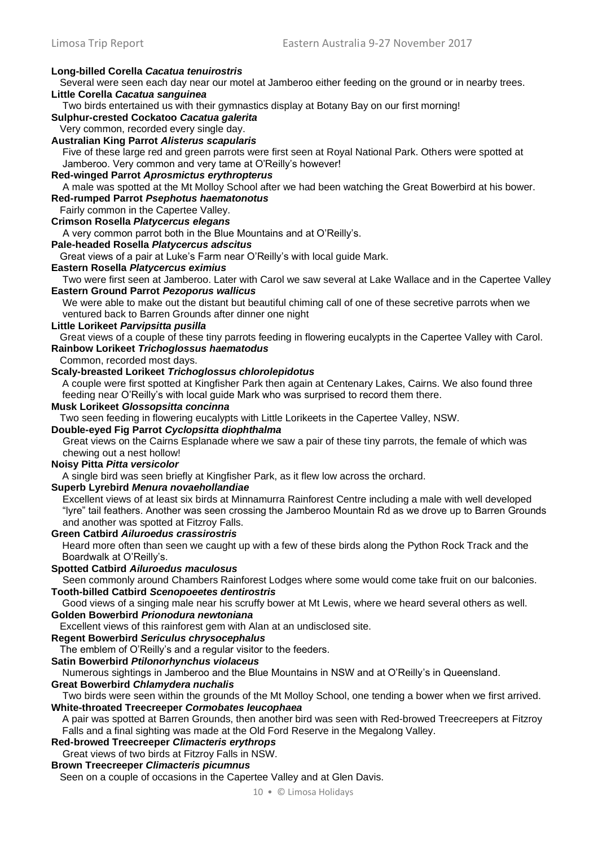# **Long-billed Corella** *Cacatua tenuirostris*

Several were seen each day near our motel at Jamberoo either feeding on the ground or in nearby trees.

**Little Corella** *Cacatua sanguinea* 

Two birds entertained us with their gymnastics display at Botany Bay on our first morning!

**Sulphur-crested Cockatoo** *Cacatua galerita* 

#### Very common, recorded every single day. **Australian King Parrot** *Alisterus scapularis*

Five of these large red and green parrots were first seen at Royal National Park. Others were spotted at Jamberoo. Very common and very tame at O'Reilly's however!

## **Red-winged Parrot** *Aprosmictus erythropterus*

A male was spotted at the Mt Molloy School after we had been watching the Great Bowerbird at his bower. **Red-rumped Parrot** *Psephotus haematonotus* 

Fairly common in the Capertee Valley.

**Crimson Rosella** *Platycercus elegans* 

A very common parrot both in the Blue Mountains and at O'Reilly's.

#### **Pale-headed Rosella** *Platycercus adscitus* Great views of a pair at Luke's Farm near O'Reilly's with local guide Mark.

**Eastern Rosella** *Platycercus eximius* 

Two were first seen at Jamberoo. Later with Carol we saw several at Lake Wallace and in the Capertee Valley **Eastern Ground Parrot** *Pezoporus wallicus*

We were able to make out the distant but beautiful chiming call of one of these secretive parrots when we ventured back to Barren Grounds after dinner one night

## **Little Lorikeet** *Parvipsitta pusilla*

Great views of a couple of these tiny parrots feeding in flowering eucalypts in the Capertee Valley with Carol. **Rainbow Lorikeet** *Trichoglossus haematodus* 

Common, recorded most days.

# **Scaly-breasted Lorikeet** *Trichoglossus chlorolepidotus*

A couple were first spotted at Kingfisher Park then again at Centenary Lakes, Cairns. We also found three feeding near O'Reilly's with local guide Mark who was surprised to record them there.

## **Musk Lorikeet** *Glossopsitta concinna*

Two seen feeding in flowering eucalypts with Little Lorikeets in the Capertee Valley, NSW.

# **Double-eyed Fig Parrot** *Cyclopsitta diophthalma*

Great views on the Cairns Esplanade where we saw a pair of these tiny parrots, the female of which was chewing out a nest hollow!

# **Noisy Pitta** *Pitta versicolor*

A single bird was seen briefly at Kingfisher Park, as it flew low across the orchard.

## **Superb Lyrebird** *Menura novaehollandiae*

Excellent views of at least six birds at Minnamurra Rainforest Centre including a male with well developed "lyre" tail feathers. Another was seen crossing the Jamberoo Mountain Rd as we drove up to Barren Grounds and another was spotted at Fitzroy Falls.

# **Green Catbird** *Ailuroedus crassirostris*

Heard more often than seen we caught up with a few of these birds along the Python Rock Track and the Boardwalk at O'Reilly's.

# **Spotted Catbird** *Ailuroedus maculosus*

Seen commonly around Chambers Rainforest Lodges where some would come take fruit on our balconies. **Tooth-billed Catbird** *Scenopoeetes dentirostris* 

Good views of a singing male near his scruffy bower at Mt Lewis, where we heard several others as well. **Golden Bowerbird** *Prionodura newtoniana*

Excellent views of this rainforest gem with Alan at an undisclosed site.

## **Regent Bowerbird** *Sericulus chrysocephalus*

The emblem of O'Reilly's and a regular visitor to the feeders.

## **Satin Bowerbird** *Ptilonorhynchus violaceus*

Numerous sightings in Jamberoo and the Blue Mountains in NSW and at O'Reilly's in Queensland.

## **Great Bowerbird** *Chlamydera nuchalis*

Two birds were seen within the grounds of the Mt Molloy School, one tending a bower when we first arrived. **White-throated Treecreeper** *Cormobates leucophaea* 

A pair was spotted at Barren Grounds, then another bird was seen with Red-browed Treecreepers at Fitzroy Falls and a final sighting was made at the Old Ford Reserve in the Megalong Valley.

# **Red-browed Treecreeper** *Climacteris erythrops*

Great views of two birds at Fitzroy Falls in NSW.

**Brown Treecreeper** *Climacteris picumnus* 

Seen on a couple of occasions in the Capertee Valley and at Glen Davis.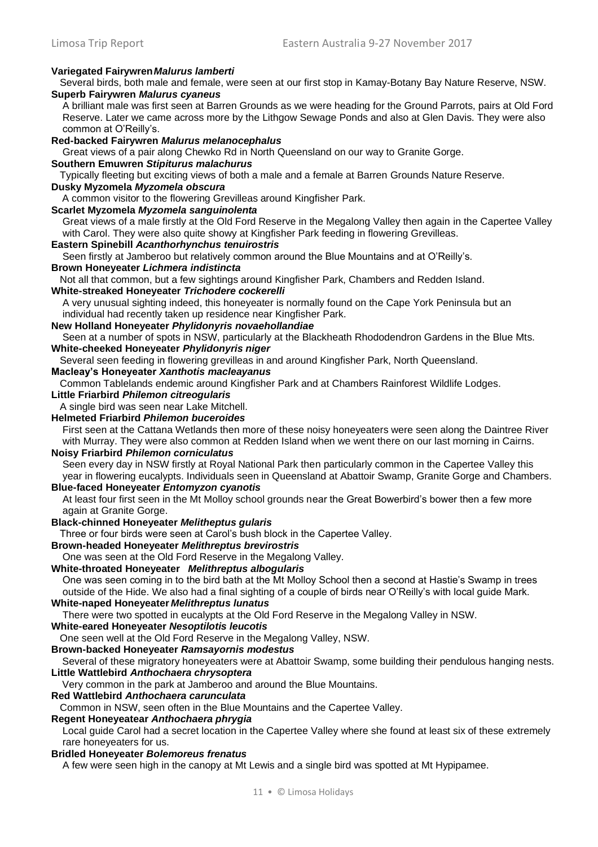# **Variegated Fairywren***Malurus lamberti*

Several birds, both male and female, were seen at our first stop in Kamay-Botany Bay Nature Reserve, NSW. **Superb Fairywren** *Malurus cyaneus* 

A brilliant male was first seen at Barren Grounds as we were heading for the Ground Parrots, pairs at Old Ford Reserve. Later we came across more by the Lithgow Sewage Ponds and also at Glen Davis. They were also common at O'Reilly's.

#### **Red-backed Fairywren** *Malurus melanocephalus*

Great views of a pair along Chewko Rd in North Queensland on our way to Granite Gorge.

#### **Southern Emuwren** *Stipiturus malachurus*

Typically fleeting but exciting views of both a male and a female at Barren Grounds Nature Reserve.

# **Dusky Myzomela** *Myzomela obscura*

A common visitor to the flowering Grevilleas around Kingfisher Park.

#### **Scarlet Myzomela** *Myzomela sanguinolenta*

Great views of a male firstly at the Old Ford Reserve in the Megalong Valley then again in the Capertee Valley with Carol. They were also quite showy at Kingfisher Park feeding in flowering Grevilleas.

#### **Eastern Spinebill** *Acanthorhynchus tenuirostris*

Seen firstly at Jamberoo but relatively common around the Blue Mountains and at O'Reilly's.

#### **Brown Honeyeater** *Lichmera indistincta*

Not all that common, but a few sightings around Kingfisher Park, Chambers and Redden Island.

#### **White-streaked Honeyeater** *Trichodere cockerelli*

A very unusual sighting indeed, this honeyeater is normally found on the Cape York Peninsula but an individual had recently taken up residence near Kingfisher Park.

#### **New Holland Honeyeater** *Phylidonyris novaehollandiae*

Seen at a number of spots in NSW, particularly at the Blackheath Rhododendron Gardens in the Blue Mts. **White-cheeked Honeyeater** *Phylidonyris niger*

Several seen feeding in flowering grevilleas in and around Kingfisher Park, North Queensland.

#### **Macleay's Honeyeater** *Xanthotis macleayanus*

Common Tablelands endemic around Kingfisher Park and at Chambers Rainforest Wildlife Lodges.

## **Little Friarbird** *Philemon citreogularis*

A single bird was seen near Lake Mitchell.

# **Helmeted Friarbird** *Philemon buceroides*

First seen at the Cattana Wetlands then more of these noisy honeyeaters were seen along the Daintree River with Murray. They were also common at Redden Island when we went there on our last morning in Cairns.

#### **Noisy Friarbird** *Philemon corniculatus*

Seen every day in NSW firstly at Royal National Park then particularly common in the Capertee Valley this year in flowering eucalypts. Individuals seen in Queensland at Abattoir Swamp, Granite Gorge and Chambers.

#### **Blue-faced Honeyeater** *Entomyzon cyanotis*

At least four first seen in the Mt Molloy school grounds near the Great Bowerbird's bower then a few more again at Granite Gorge.

#### **Black-chinned Honeyeater** *Melitheptus gularis*

Three or four birds were seen at Carol's bush block in the Capertee Valley.

# **Brown-headed Honeyeater** *Melithreptus brevirostris*

One was seen at the Old Ford Reserve in the Megalong Valley.

# **White-throated Honeyeater** *Melithreptus albogularis*

One was seen coming in to the bird bath at the Mt Molloy School then a second at Hastie's Swamp in trees outside of the Hide. We also had a final sighting of a couple of birds near O'Reilly's with local guide Mark.

#### **White-naped Honeyeater** *Melithreptus lunatus*

There were two spotted in eucalypts at the Old Ford Reserve in the Megalong Valley in NSW.

## **White-eared Honeyeater** *Nesoptilotis leucotis*

One seen well at the Old Ford Reserve in the Megalong Valley, NSW.

#### **Brown-backed Honeyeater** *Ramsayornis modestus*

Several of these migratory honeyeaters were at Abattoir Swamp, some building their pendulous hanging nests. **Little Wattlebird** *Anthochaera chrysoptera* 

Very common in the park at Jamberoo and around the Blue Mountains.

#### **Red Wattlebird** *Anthochaera carunculata*

Common in NSW, seen often in the Blue Mountains and the Capertee Valley.

#### **Regent Honeyeatear** *Anthochaera phrygia*

Local guide Carol had a secret location in the Capertee Valley where she found at least six of these extremely rare honeyeaters for us.

#### **Bridled Honeyeater** *Bolemoreus frenatus*

A few were seen high in the canopy at Mt Lewis and a single bird was spotted at Mt Hypipamee.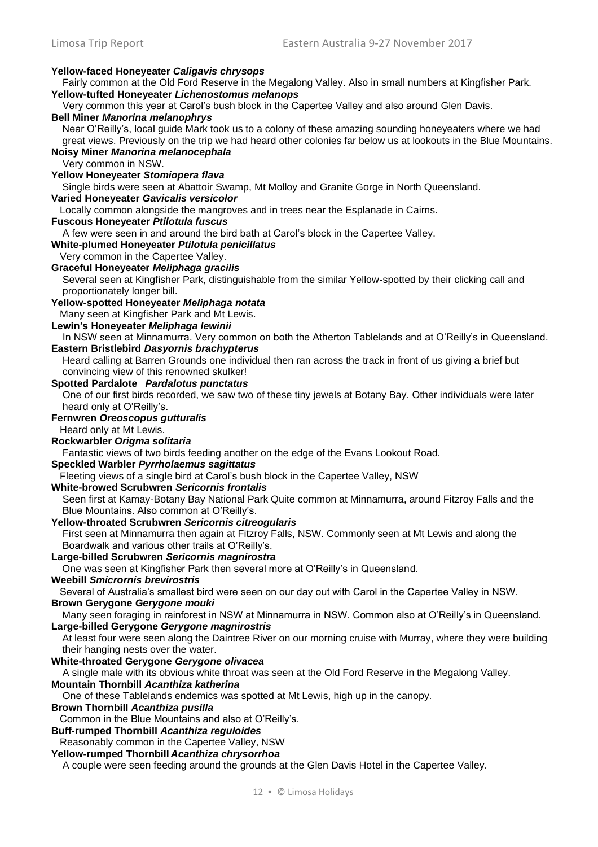**Yellow-faced Honeyeater** *Caligavis chrysops*  Fairly common at the Old Ford Reserve in the Megalong Valley. Also in small numbers at Kingfisher Park. **Yellow-tufted Honeyeater** *Lichenostomus melanops* Very common this year at Carol's bush block in the Capertee Valley and also around Glen Davis. **Bell Miner** *Manorina melanophrys*  Near O'Reilly's, local guide Mark took us to a colony of these amazing sounding honeyeaters where we had great views. Previously on the trip we had heard other colonies far below us at lookouts in the Blue Mountains. **Noisy Miner** *Manorina melanocephala*  Very common in NSW. **Yellow Honeyeater** *Stomiopera flava*  Single birds were seen at Abattoir Swamp, Mt Molloy and Granite Gorge in North Queensland. **Varied Honeyeater** *Gavicalis versicolor* Locally common alongside the mangroves and in trees near the Esplanade in Cairns. **Fuscous Honeyeater** *Ptilotula fuscus*  A few were seen in and around the bird bath at Carol's block in the Capertee Valley. **White-plumed Honeyeater** *Ptilotula penicillatus*  Very common in the Capertee Valley. **Graceful Honeyeater** *Meliphaga gracilis*  Several seen at Kingfisher Park, distinguishable from the similar Yellow-spotted by their clicking call and proportionately longer bill. **Yellow-spotted Honeyeater** *Meliphaga notata* Many seen at Kingfisher Park and Mt Lewis. **Lewin's Honeyeater** *Meliphaga lewinii*  In NSW seen at Minnamurra. Very common on both the Atherton Tablelands and at O'Reilly's in Queensland. **Eastern Bristlebird** *Dasyornis brachypterus* Heard calling at Barren Grounds one individual then ran across the track in front of us giving a brief but convincing view of this renowned skulker! **Spotted Pardalote** *Pardalotus punctatus* One of our first birds recorded, we saw two of these tiny jewels at Botany Bay. Other individuals were later heard only at O'Reilly's. **Fernwren** *Oreoscopus gutturalis* Heard only at Mt Lewis. **Rockwarbler** *Origma solitaria* Fantastic views of two birds feeding another on the edge of the Evans Lookout Road. **Speckled Warbler** *Pyrrholaemus sagittatus* Fleeting views of a single bird at Carol's bush block in the Capertee Valley, NSW **White-browed Scrubwren** *Sericornis frontalis*  Seen first at Kamay-Botany Bay National Park Quite common at Minnamurra, around Fitzroy Falls and the Blue Mountains. Also common at O'Reilly's. **Yellow-throated Scrubwren** *Sericornis citreogularis*  First seen at Minnamurra then again at Fitzroy Falls, NSW. Commonly seen at Mt Lewis and along the Boardwalk and various other trails at O'Reilly's. **Large-billed Scrubwren** *Sericornis magnirostra*  One was seen at Kingfisher Park then several more at O'Reilly's in Queensland. **Weebill** *Smicrornis brevirostris* Several of Australia's smallest bird were seen on our day out with Carol in the Capertee Valley in NSW. **Brown Gerygone** *Gerygone mouki*  Many seen foraging in rainforest in NSW at Minnamurra in NSW. Common also at O'Reilly's in Queensland. **Large-billed Gerygone** *Gerygone magnirostris*  At least four were seen along the Daintree River on our morning cruise with Murray, where they were building their hanging nests over the water. **White-throated Gerygone** *Gerygone olivacea* A single male with its obvious white throat was seen at the Old Ford Reserve in the Megalong Valley. **Mountain Thornbill** *Acanthiza katherina* One of these Tablelands endemics was spotted at Mt Lewis, high up in the canopy. **Brown Thornbill** *Acanthiza pusilla*  Common in the Blue Mountains and also at O'Reilly's. **Buff-rumped Thornbill** *Acanthiza reguloides* Reasonably common in the Capertee Valley, NSW **Yellow-rumped Thornbill** *Acanthiza chrysorrhoa* A couple were seen feeding around the grounds at the Glen Davis Hotel in the Capertee Valley.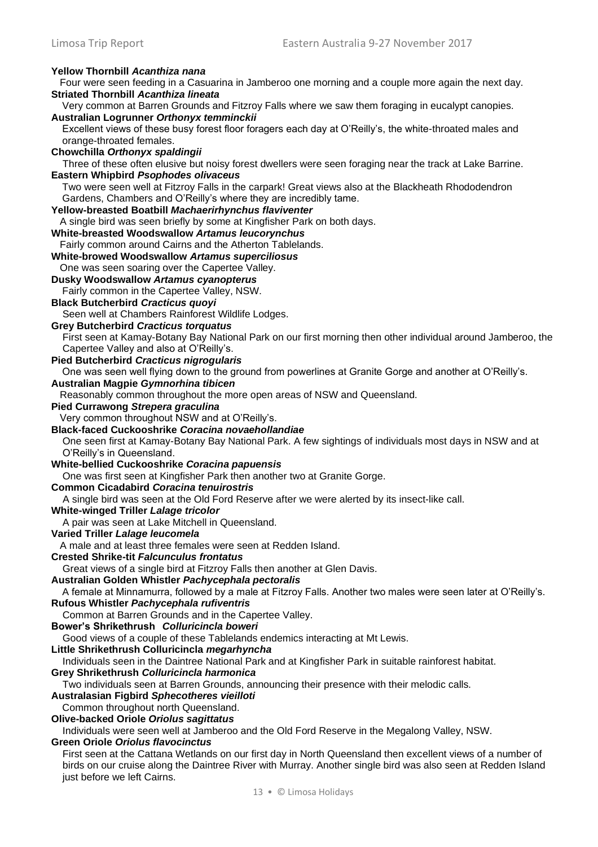#### Limosa Trip Report Eastern Australia 9-27 November 2017 **Yellow Thornbill** *Acanthiza nana*  Four were seen feeding in a Casuarina in Jamberoo one morning and a couple more again the next day. **Striated Thornbill** *Acanthiza lineata*  Very common at Barren Grounds and Fitzroy Falls where we saw them foraging in eucalypt canopies. **Australian Logrunner** *Orthonyx temminckii*  Excellent views of these busy forest floor foragers each day at O'Reilly's, the white-throated males and orange-throated females. **Chowchilla** *Orthonyx spaldingii* Three of these often elusive but noisy forest dwellers were seen foraging near the track at Lake Barrine. **Eastern Whipbird** *Psophodes olivaceus*  Two were seen well at Fitzroy Falls in the carpark! Great views also at the Blackheath Rhododendron Gardens, Chambers and O'Reilly's where they are incredibly tame. **Yellow-breasted Boatbill** *Machaerirhynchus flaviventer*  A single bird was seen briefly by some at Kingfisher Park on both days. **White-breasted Woodswallow** *Artamus leucorynchus*  Fairly common around Cairns and the Atherton Tablelands. **White-browed Woodswallow** *Artamus superciliosus* One was seen soaring over the Capertee Valley. **Dusky Woodswallow** *Artamus cyanopterus*  Fairly common in the Capertee Valley, NSW. **Black Butcherbird** *Cracticus quoyi*  Seen well at Chambers Rainforest Wildlife Lodges. **Grey Butcherbird** *Cracticus torquatus* First seen at Kamay-Botany Bay National Park on our first morning then other individual around Jamberoo, the Capertee Valley and also at O'Reilly's. **Pied Butcherbird** *Cracticus nigrogularis*  One was seen well flying down to the ground from powerlines at Granite Gorge and another at O'Reilly's. **Australian Magpie** *Gymnorhina tibicen*  Reasonably common throughout the more open areas of NSW and Queensland. **Pied Currawong** *Strepera graculina*  Very common throughout NSW and at O'Reilly's. **Black-faced Cuckooshrike** *Coracina novaehollandiae*  One seen first at Kamay-Botany Bay National Park. A few sightings of individuals most days in NSW and at O'Reilly's in Queensland. **White-bellied Cuckooshrike** *Coracina papuensis*  One was first seen at Kingfisher Park then another two at Granite Gorge. **Common Cicadabird** *Coracina tenuirostris*  A single bird was seen at the Old Ford Reserve after we were alerted by its insect-like call. **White-winged Triller** *Lalage tricolor*  A pair was seen at Lake Mitchell in Queensland. **Varied Triller** *Lalage leucomela*  A male and at least three females were seen at Redden Island. **Crested Shrike-tit** *Falcunculus frontatus*  Great views of a single bird at Fitzroy Falls then another at Glen Davis. **Australian Golden Whistler** *Pachycephala pectoralis*  A female at Minnamurra, followed by a male at Fitzroy Falls. Another two males were seen later at O'Reilly's. **Rufous Whistler** *Pachycephala rufiventris*  Common at Barren Grounds and in the Capertee Valley. **Bower's Shrikethrush** *Colluricincla boweri* Good views of a couple of these Tablelands endemics interacting at Mt Lewis. **Little Shrikethrush Colluricincla** *megarhyncha*  Individuals seen in the Daintree National Park and at Kingfisher Park in suitable rainforest habitat. **Grey Shrikethrush** *Colluricincla harmonica*  Two individuals seen at Barren Grounds, announcing their presence with their melodic calls. **Australasian Figbird** *Sphecotheres vieilloti*  Common throughout north Queensland.

**Olive-backed Oriole** *Oriolus sagittatus* 

Individuals were seen well at Jamberoo and the Old Ford Reserve in the Megalong Valley, NSW.

#### **Green Oriole** *Oriolus flavocinctus*

First seen at the Cattana Wetlands on our first day in North Queensland then excellent views of a number of birds on our cruise along the Daintree River with Murray. Another single bird was also seen at Redden Island just before we left Cairns.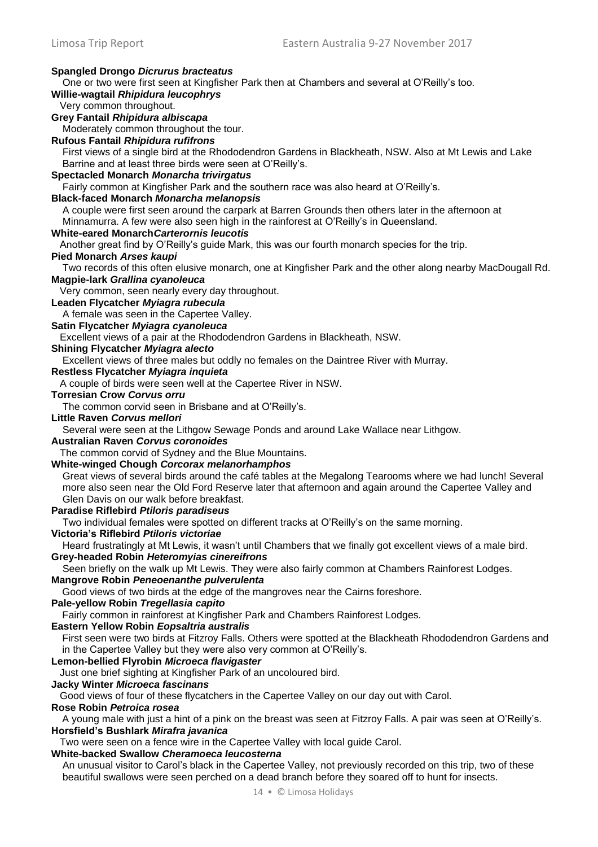#### **Spangled Drongo** *Dicrurus bracteatus*  One or two were first seen at Kingfisher Park then at Chambers and several at O'Reilly's too. **Willie-wagtail** *Rhipidura leucophrys*  Very common throughout. **Grey Fantail** *Rhipidura albiscapa*

Moderately common throughout the tour.

# **Rufous Fantail** *Rhipidura rufifrons*

First views of a single bird at the Rhododendron Gardens in Blackheath, NSW. Also at Mt Lewis and Lake Barrine and at least three birds were seen at O'Reilly's.

## **Spectacled Monarch** *Monarcha trivirgatus*

Fairly common at Kingfisher Park and the southern race was also heard at O'Reilly's.

#### **Black-faced Monarch** *Monarcha melanopsis*

A couple were first seen around the carpark at Barren Grounds then others later in the afternoon at

Minnamurra. A few were also seen high in the rainforest at O'Reilly's in Queensland.

# **White-eared Monarch***Carterornis leucotis*

Another great find by O'Reilly's guide Mark, this was our fourth monarch species for the trip.

#### **Pied Monarch** *Arses kaupi*

Two records of this often elusive monarch, one at Kingfisher Park and the other along nearby MacDougall Rd. **Magpie-lark** *Grallina cyanoleuca* 

Very common, seen nearly every day throughout.

# **Leaden Flycatcher** *Myiagra rubecula*

A female was seen in the Capertee Valley.

# **Satin Flycatcher** *Myiagra cyanoleuca*

Excellent views of a pair at the Rhododendron Gardens in Blackheath, NSW.

# **Shining Flycatcher** *Myiagra alecto*

Excellent views of three males but oddly no females on the Daintree River with Murray.

# **Restless Flycatcher** *Myiagra inquieta*

A couple of birds were seen well at the Capertee River in NSW.

#### **Torresian Crow** *Corvus orru*

The common corvid seen in Brisbane and at O'Reilly's.

#### **Little Raven** *Corvus mellori*

Several were seen at the Lithgow Sewage Ponds and around Lake Wallace near Lithgow.

#### **Australian Raven** *Corvus coronoides*

The common corvid of Sydney and the Blue Mountains.

#### **White-winged Chough** *Corcorax melanorhamphos*

Great views of several birds around the café tables at the Megalong Tearooms where we had lunch! Several more also seen near the Old Ford Reserve later that afternoon and again around the Capertee Valley and Glen Davis on our walk before breakfast.

## **Paradise Riflebird** *Ptiloris paradiseus*

Two individual females were spotted on different tracks at O'Reilly's on the same morning.

#### **Victoria's Riflebird** *Ptiloris victoriae*

Heard frustratingly at Mt Lewis, it wasn't until Chambers that we finally got excellent views of a male bird. **Grey-headed Robin** *Heteromyias cinereifrons* 

# Seen briefly on the walk up Mt Lewis. They were also fairly common at Chambers Rainforest Lodges.

# **Mangrove Robin** *Peneoenanthe pulverulenta*

Good views of two birds at the edge of the mangroves near the Cairns foreshore.

#### **Pale-yellow Robin** *Tregellasia capito*

Fairly common in rainforest at Kingfisher Park and Chambers Rainforest Lodges.

#### **Eastern Yellow Robin** *Eopsaltria australis*

First seen were two birds at Fitzroy Falls. Others were spotted at the Blackheath Rhododendron Gardens and in the Capertee Valley but they were also very common at O'Reilly's.

## **Lemon-bellied Flyrobin** *Microeca flavigaster*

Just one brief sighting at Kingfisher Park of an uncoloured bird.

## **Jacky Winter** *Microeca fascinans*

Good views of four of these flycatchers in the Capertee Valley on our day out with Carol.

#### **Rose Robin** *Petroica rosea*

A young male with just a hint of a pink on the breast was seen at Fitzroy Falls. A pair was seen at O'Reilly's. **Horsfield's Bushlark** *Mirafra javanica*

Two were seen on a fence wire in the Capertee Valley with local guide Carol.

## **White-backed Swallow** *Cheramoeca leucosterna*

An unusual visitor to Carol's black in the Capertee Valley, not previously recorded on this trip, two of these beautiful swallows were seen perched on a dead branch before they soared off to hunt for insects.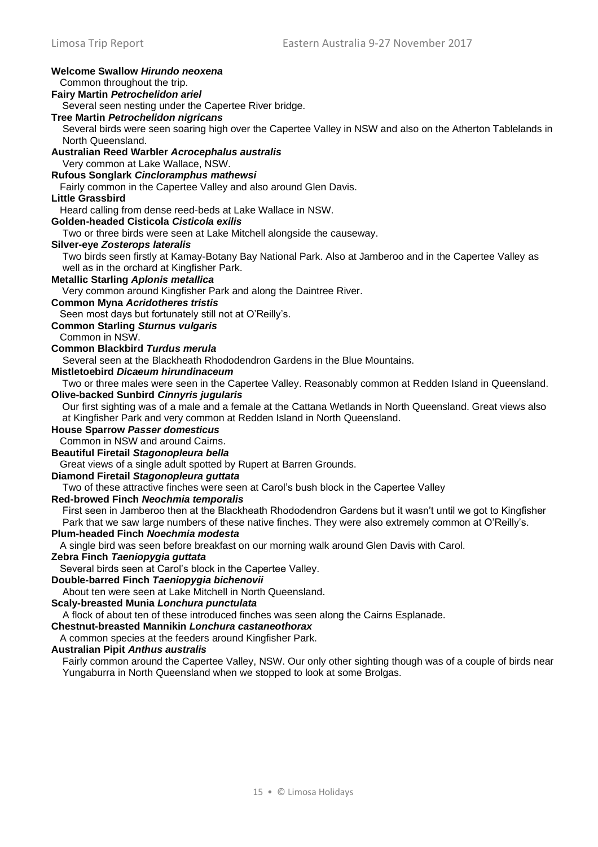| <b>Welcome Swallow Hirundo neoxena</b>                                                                                                                  |
|---------------------------------------------------------------------------------------------------------------------------------------------------------|
| Common throughout the trip.                                                                                                                             |
| <b>Fairy Martin Petrochelidon ariel</b>                                                                                                                 |
| Several seen nesting under the Capertee River bridge.                                                                                                   |
| <b>Tree Martin Petrochelidon nigricans</b>                                                                                                              |
| Several birds were seen soaring high over the Capertee Valley in NSW and also on the Atherton Tablelands in                                             |
| North Queensland.                                                                                                                                       |
| Australian Reed Warbler Acrocephalus australis                                                                                                          |
| Very common at Lake Wallace, NSW.                                                                                                                       |
| Rufous Songlark Cincloramphus mathewsi                                                                                                                  |
| Fairly common in the Capertee Valley and also around Glen Davis.<br><b>Little Grassbird</b>                                                             |
|                                                                                                                                                         |
| Heard calling from dense reed-beds at Lake Wallace in NSW.<br>Golden-headed Cisticola Cisticola exilis                                                  |
| Two or three birds were seen at Lake Mitchell alongside the causeway.                                                                                   |
| <b>Silver-eye Zosterops lateralis</b>                                                                                                                   |
| Two birds seen firstly at Kamay-Botany Bay National Park. Also at Jamberoo and in the Capertee Valley as                                                |
| well as in the orchard at Kingfisher Park.                                                                                                              |
| <b>Metallic Starling Aplonis metallica</b>                                                                                                              |
| Very common around Kingfisher Park and along the Daintree River.                                                                                        |
| <b>Common Myna Acridotheres tristis</b>                                                                                                                 |
| Seen most days but fortunately still not at O'Reilly's.                                                                                                 |
| <b>Common Starling Sturnus vulgaris</b>                                                                                                                 |
| Common in NSW.                                                                                                                                          |
| <b>Common Blackbird Turdus merula</b>                                                                                                                   |
| Several seen at the Blackheath Rhododendron Gardens in the Blue Mountains.                                                                              |
| <b>Mistletoebird Dicaeum hirundinaceum</b>                                                                                                              |
| Two or three males were seen in the Capertee Valley. Reasonably common at Redden Island in Queensland.                                                  |
| <b>Olive-backed Sunbird Cinnyris jugularis</b>                                                                                                          |
| Our first sighting was of a male and a female at the Cattana Wetlands in North Queensland. Great views also                                             |
| at Kingfisher Park and very common at Redden Island in North Queensland.                                                                                |
| <b>House Sparrow Passer domesticus</b>                                                                                                                  |
| Common in NSW and around Cairns.                                                                                                                        |
| <b>Beautiful Firetail Stagonopleura bella</b>                                                                                                           |
| Great views of a single adult spotted by Rupert at Barren Grounds.                                                                                      |
| Diamond Firetail Stagonopleura guttata                                                                                                                  |
| Two of these attractive finches were seen at Carol's bush block in the Capertee Valley                                                                  |
| Red-browed Finch Neochmia temporalis                                                                                                                    |
| First seen in Jamberoo then at the Blackheath Rhododendron Gardens but it wasn't until we got to Kingfisher                                             |
| Park that we saw large numbers of these native finches. They were also extremely common at O'Reilly's.                                                  |
| Plum-headed Finch Noechmia modesta                                                                                                                      |
| A single bird was seen before breakfast on our morning walk around Glen Davis with Carol.                                                               |
| Zebra Finch Taeniopygia guttata                                                                                                                         |
| Several birds seen at Carol's block in the Capertee Valley.                                                                                             |
| Double-barred Finch Taeniopygia bichenovii                                                                                                              |
| About ten were seen at Lake Mitchell in North Queensland.                                                                                               |
| Scaly-breasted Munia Lonchura punctulata                                                                                                                |
| A flock of about ten of these introduced finches was seen along the Cairns Esplanade.                                                                   |
| Chestnut-breasted Mannikin Lonchura castaneothorax                                                                                                      |
| A common species at the feeders around Kingfisher Park.                                                                                                 |
| <b>Australian Pipit Anthus australis</b><br>Fairly common around the Capertee Valley, NSW. Our only other sighting though was of a couple of birds near |
| Yungaburra in North Queensland when we stopped to look at some Brolgas.                                                                                 |